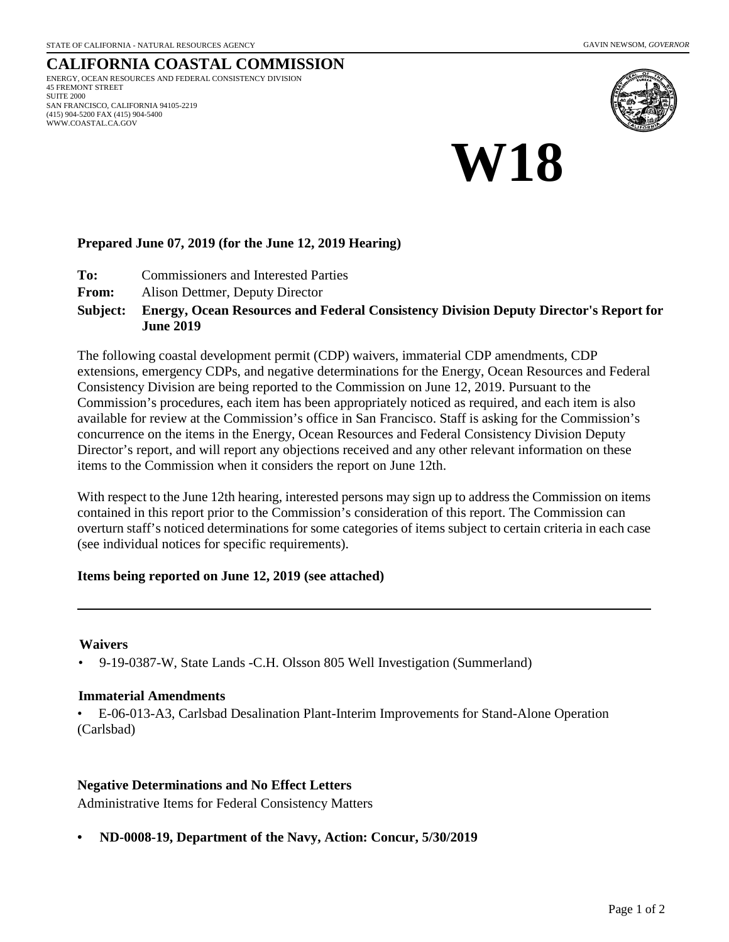#### **CALIFORNIA COASTAL COMMISSION** ENERGY, OCEAN RESOURCES AND FEDERAL CONSISTENCY DIVISION 45 FREMONT STREET SUITE 2000 SAN FRANCISCO, CALIFORNIA 94105-2219 (415) 904-5200 FAX (415) 904-5400 WWW.COASTAL.CA.GOV





#### **Prepared June 07, 2019 (for the June 12, 2019 Hearing)**

- **To:** Commissioners and Interested Parties
- **From:** Alison Dettmer, Deputy Director

#### **Energy, Ocean Resources and Federal Consistency Division Deputy Director's Report for June 2019 Subject:**

The following coastal development permit (CDP) waivers, immaterial CDP amendments, CDP extensions, emergency CDPs, and negative determinations for the Energy, Ocean Resources and Federal Consistency Division are being reported to the Commission on June 12, 2019. Pursuant to the Commission's procedures, each item has been appropriately noticed as required, and each item is also available for review at the Commission's office in San Francisco. Staff is asking for the Commission's concurrence on the items in the Energy, Ocean Resources and Federal Consistency Division Deputy Director's report, and will report any objections received and any other relevant information on these items to the Commission when it considers the report on June 12th.

With respect to the June 12th hearing, interested persons may sign up to address the Commission on items contained in this report prior to the Commission's consideration of this report. The Commission can overturn staff's noticed determinations for some categories of items subject to certain criteria in each case (see individual notices for specific requirements).

#### **Items being reported on June 12, 2019 (see attached)**

#### **Waivers**

• 9-19-0387-W, State Lands -C.H. Olsson 805 Well Investigation (Summerland)

#### **Immaterial Amendments**

• E-06-013-A3, Carlsbad Desalination Plant-Interim Improvements for Stand-Alone Operation (Carlsbad)

#### **Negative Determinations and No Effect Letters**

Administrative Items for Federal Consistency Matters

**• ND-0008-19, Department of the Navy, Action: Concur, 5/30/2019**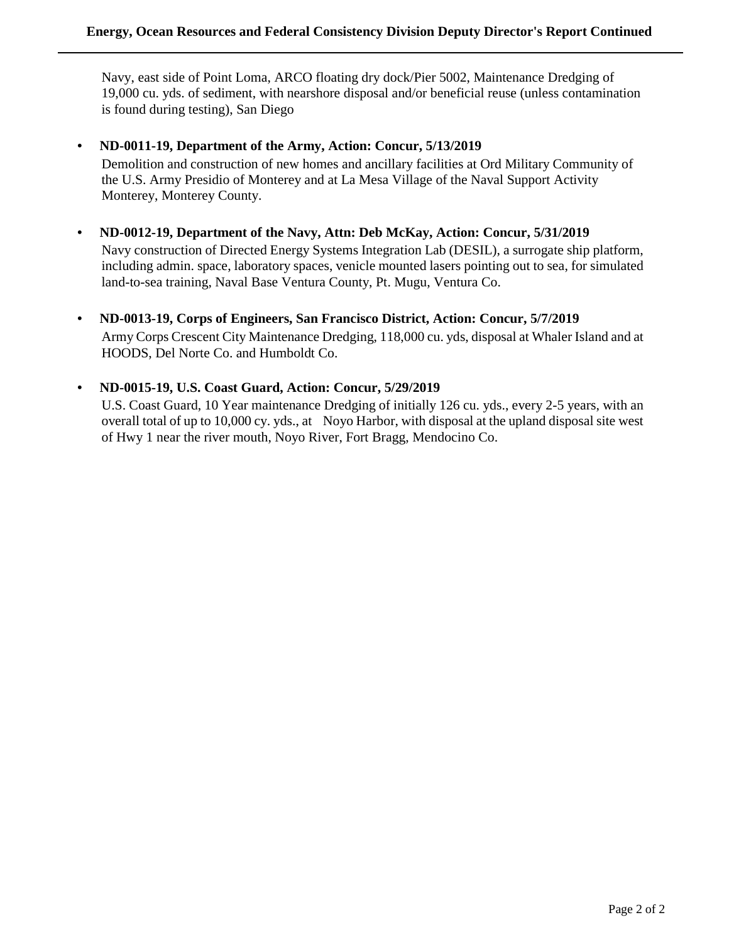Navy, east side of Point Loma, ARCO floating dry dock/Pier 5002, Maintenance Dredging of 19,000 cu. yds. of sediment, with nearshore disposal and/or beneficial reuse (unless contamination is found during testing), San Diego

#### **• ND-0011-19, Department of the Army, Action: Concur, 5/13/2019**

Demolition and construction of new homes and ancillary facilities at Ord Military Community of the U.S. Army Presidio of Monterey and at La Mesa Village of the Naval Support Activity Monterey, Monterey County.

# **• ND-0012-19, Department of the Navy, Attn: Deb McKay, Action: Concur, 5/31/2019**

Navy construction of Directed Energy Systems Integration Lab (DESIL), a surrogate ship platform, including admin. space, laboratory spaces, venicle mounted lasers pointing out to sea, for simulated land-to-sea training, Naval Base Ventura County, Pt. Mugu, Ventura Co.

**• ND-0013-19, Corps of Engineers, San Francisco District, Action: Concur, 5/7/2019** Army Corps Crescent City Maintenance Dredging, 118,000 cu. yds, disposal at Whaler Island and at HOODS, Del Norte Co. and Humboldt Co.

#### **• ND-0015-19, U.S. Coast Guard, Action: Concur, 5/29/2019**

U.S. Coast Guard, 10 Year maintenance Dredging of initially 126 cu. yds., every 2-5 years, with an overall total of up to 10,000 cy. yds., at Noyo Harbor, with disposal at the upland disposal site west of Hwy 1 near the river mouth, Noyo River, Fort Bragg, Mendocino Co.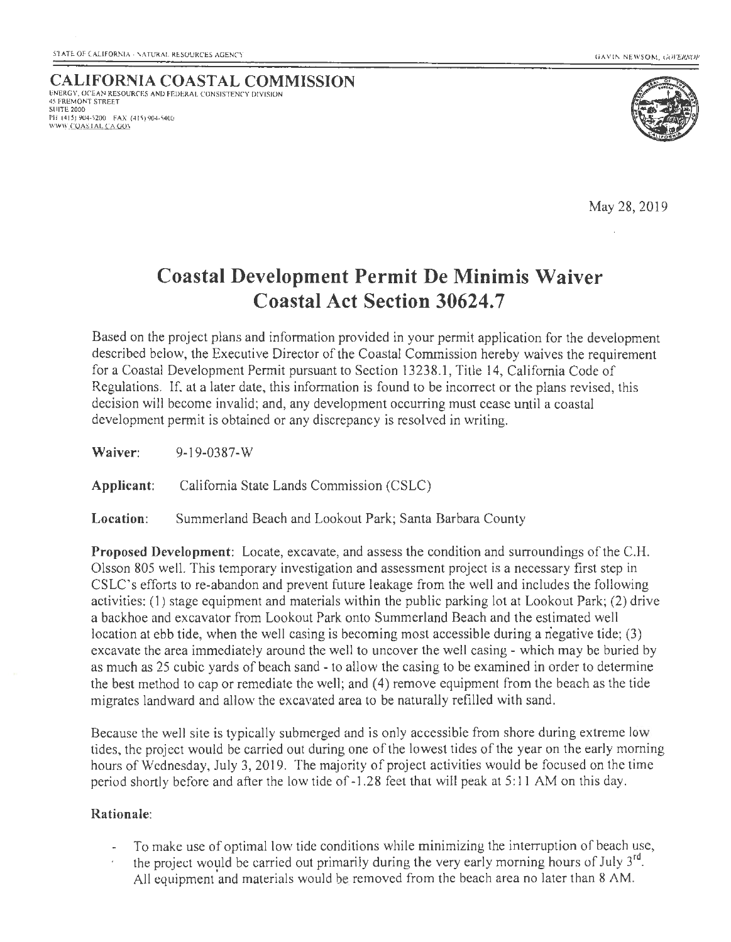**CALIFORNIA COASTAL COMMISSION** ENERGY, OCEAN RESOURCES AND FEDERAL CONSISTENCY DIVISION 45 FREMONT STREET SUITE 2000 I'll (4 15)904-5200 FAX (415)904-5400 WWW COAS'I AL CA GOY



May 28,2019

# **Coastal Development Permit De Minimis Waiver Coastal Act Section 30624.7**

Based on the project plans and information provided in your permit application for the development described below, the Executive Director of the Coastal Commission hereby waives the requirement for a Coastal Development Permit pursuant to Section 13238.1, Title 14, California Code of Regulations. If, at a later date, this information is found to be incorrect or the plans revised, this decision will become invalid; and, any development occurring must cease until a coastal development permit is obtained or any discrepancy is resolved in writing.

**Waiver:** 9-19-0387-W **Applicant:** California State Lands Commission (CSLC)

**Location:** Summerland Beach and Lookout Park; Santa Barbara County

**Proposed Development:** Locate, excavate, and assess the condition and surroundings of the C.H. Olsson 805 well. This temporary investigation and assessment project is a necessary first step in CSLC's efforts to re-abandon and prevent future leakage from the well and includes the following activities: (I) stage equipment and materials within the public parking lot at Lookout Park; (2) drive a backhoe and excavator from Lookout Park onto Summerland Beach and the estimated well location at ebb tide, when the well casing is becoming most accessible during a negative tide; (3) excavate the area immediately around the well to uncover the well casing- which may be buried by as much as 25 cubic yards of beach sand - to allow the casing to be examined in order to determine the best method to cap or remediate the well; and (4) remove equipment from the beach as the tide migrates landward and allow the excavated area to be naturally refilled with sand.

Because the well site is typically submerged and is only accessible from shore during extreme low tides, the project would be carried out during one of the lowest tides of the year on the early morning hours of Wednesday, July 3, 2019. The majority of project activities would be focused on the time period shortly before and after the low tide of -1.28 feet that will peak at 5: 11 AM on this day.

#### **Rationale:**

- To make use of optimal low tide conditions while minimizing the interruption of beach use,
- the project would be carried out primarily during the very early morning hours of July  $3<sup>rd</sup>$ . All equipment'and materials would be removed from the beach area no later than 8 AM.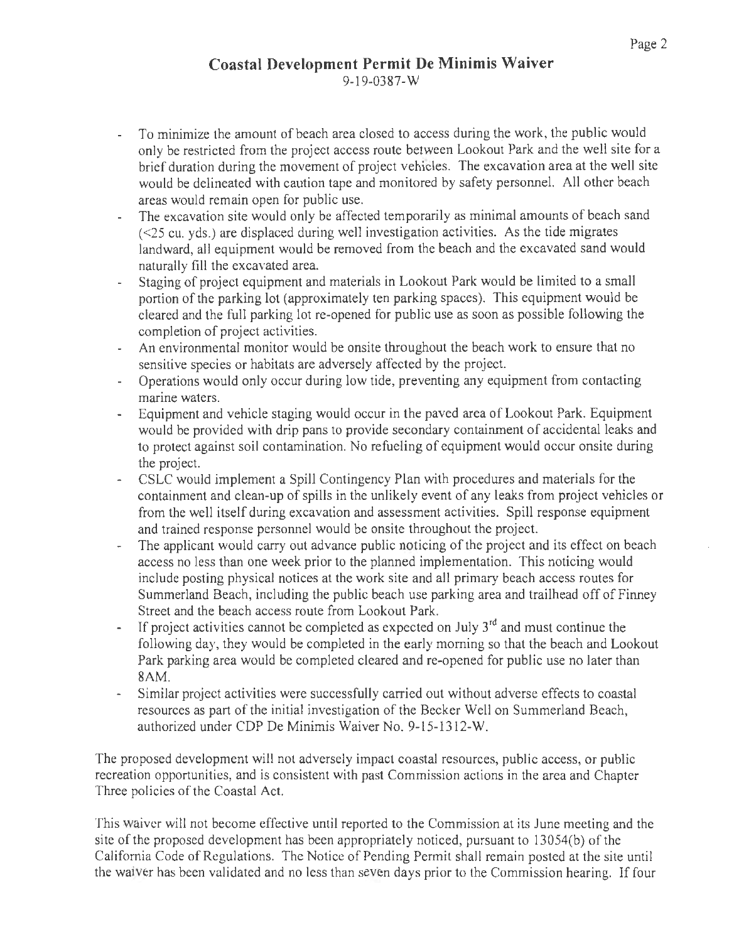- 9-19-0387-w
- To minimize the amount of beach area closed to access during the work, the public would  $\mathbf{r}$ only be restricted from the project access route between Lookout Park and the well site for a brief duration during the movement of project vehicles. The excavation area at the well site would be delineated with caution tape and monitored by safety personnel. All other beach areas would remain open for public use.
- The excavation site would only be affected temporarily as minimal amounts of beach sand  $\mathcal{L}^{\pm}$ (<25 cu. yds.) are displaced during well investigation activities. As the tide migrates landward, all equipment would be removed from the beach and the excavated sand would naturally fill the excavated area.
- Staging of project equipment and materials in Lookout Park would be limited to a small portion of the parking lot (approximately ten parking spaces). This equipment would be cleared and the full parking lot re-opened for public use as soon as possible following the completion of project activities.
- An environmental monitor would be onsite throughout the beach work to ensure that no sensitive species or habitats are adversely affected by the project.
- Operations would only occur during low tide, preventing any equipment from contacting marine waters.
- Equipment and vehicle staging would occur in the paved area of Lookout Park. Equipment would be provided with drip pans to provide secondary containment of accidental leaks and to protect against soil contamination. No refueling of equipment would occur onsite during the project.
- CSLC would implement a Spill Contingency Plan with procedures and materials for the containment and clean-up of spills in the unlikely event of any leaks from project vehicles or from the well itself during excavation and assessment activities. Spill response equipment and trained response personnel would be onsite throughout the project.
- The applicant would carry out advance public noticing of the project and its effect on beach L. access no less than one week prior to the planned implementation. This noticing would include posting physical notices at the work site and all primary beach access routes for Summerland Beach, including the public beach use parking area and trailhead off of Finney Street and the beach access route from Lookout Park.
- If project activities cannot be completed as expected on July  $3<sup>rd</sup>$  and must continue the following day, they would be completed in the early morning so that the beach and Lookout Park parking area would be completed cleared and re-opened for public use no later than 8AM.
- $\mathbf{r}$ Similar project activities were successfully carried out without adverse effects to coastal resources as part of the initial investigation of the Becker Well on Summerland Beach, authorized under CDP De Minimis Waiver No. 9- 15-1312-W.

The proposed development will not adversely impact coastal resources, public access, or public recreation opportunities, and is consistent with past Commission actions in the area and Chapter Three policies of the Coastal Act.

This waiver will not become effective until reported to the Commission at its June meeting and the site of the proposed development has been appropriately noticed, pursuant to  $13054(b)$  of the California Code of Regulations. The Notice of Pending Permit shall remain posted at the site until the waiver has been validated and no less than seven days prior to the Commission hearing. If four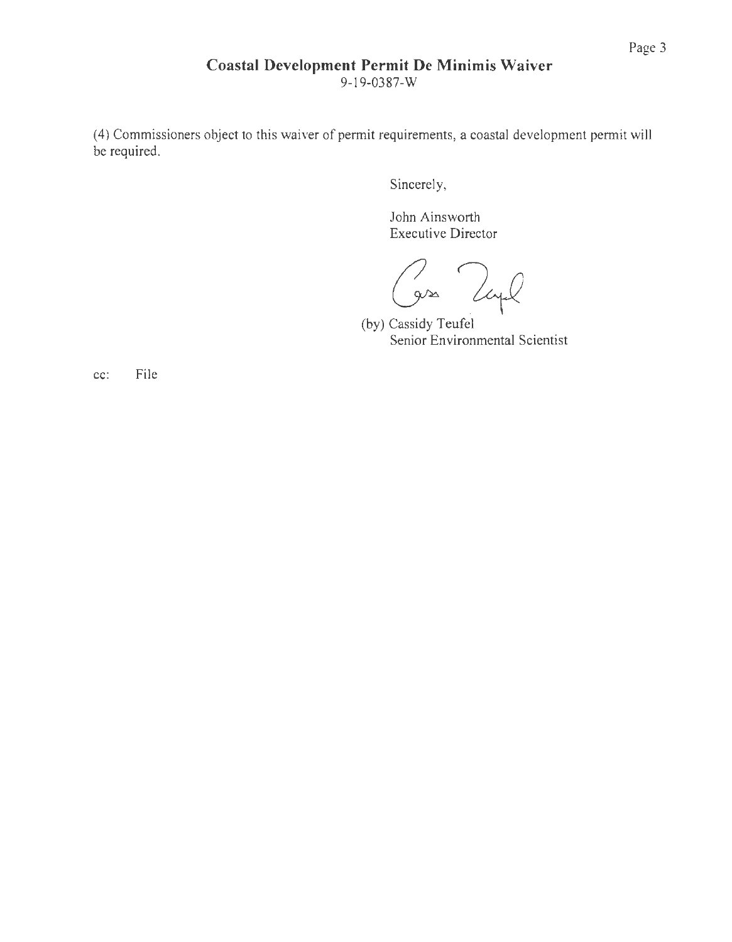# **Coastal Development Permit De Minimis Waiver**

9-19-0387-W

(4) Commissioners object to this waiver of permit requirements, a coastal development permit will be required.

Sincerely,

John Ainsworth Executive Director

2 Tayl

(by) Cassidy Teufel Senior Environmental Scientist

cc: File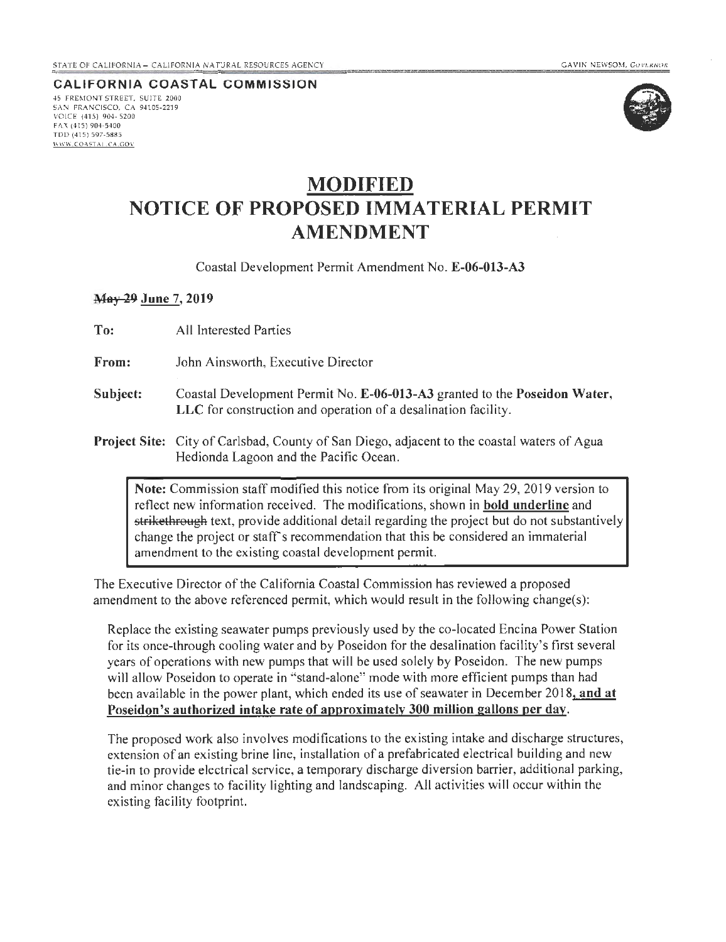**CALIFORNIA COASTAL COMMISSION** 45 FREMONT STREET, SUITE 2000 SAN FRANCISCO, CA 94105·2219 VOICE (415) 904· 5200 FAX (4 15) 904-5400 TDD (415) 597·5885 **WWW.COAST AL.CA.GOV** 



# **MODIFIED NOTICE OF PROPOSED IMMATERIAL PERMIT AMENDMENT**

Coastal Development Permit Amendment No. **E-06-013-A3** 

#### **May 29 June 7, 2019**

| To:      | All Interested Parties                                                                                                                       |
|----------|----------------------------------------------------------------------------------------------------------------------------------------------|
| From:    | John Ainsworth, Executive Director                                                                                                           |
| Subject: | Coastal Development Permit No. E-06-013-A3 granted to the Poseidon Water,<br>LLC for construction and operation of a desalination facility.  |
|          | <b>Project Site:</b> City of Carlsbad, County of San Diego, adjacent to the coastal waters of Agua<br>Hedionda Lagoon and the Pacific Ocean. |
|          | Note: Commission staff modified this notice from its original May 29, 2019 version to                                                        |

reflect new information received. The modifications, shown in **bold underline** and strikethrough text, provide additional detail regarding the project but do not substantively change the project or staff's recommendation that this be considered an immaterial amendment to the existing coastal development permit.

The Executive Director of the California Coastal Commission has reviewed a proposed amendment to the above referenced permit, which would result in the following change(s):

Replace the existing seawater pumps previously used by the co-located Encina Power Station for its once-through cooling water and by Poseidon for the desalination facility's first several years of operations with new pumps that will be used solely by Poseidon. The new pumps will allow Poseidon to operate in "stand-alone" mode with more efficient pumps than had been available in the power plant, which ended its use of seawater in December 2018, **and at Poseidon's authorized intake rate of approximately 300 million gallons per day.** 

The proposed work also involves modifications to the existing intake and discharge structures, extension of an existing brine line, installation of a prefabricated electrical building and new. tie-in to provide electrical service, a temporary discharge diversion barrier, additional parking, and minor changes to facility lighting and landscaping. All activities will occur within the existing facility footprint.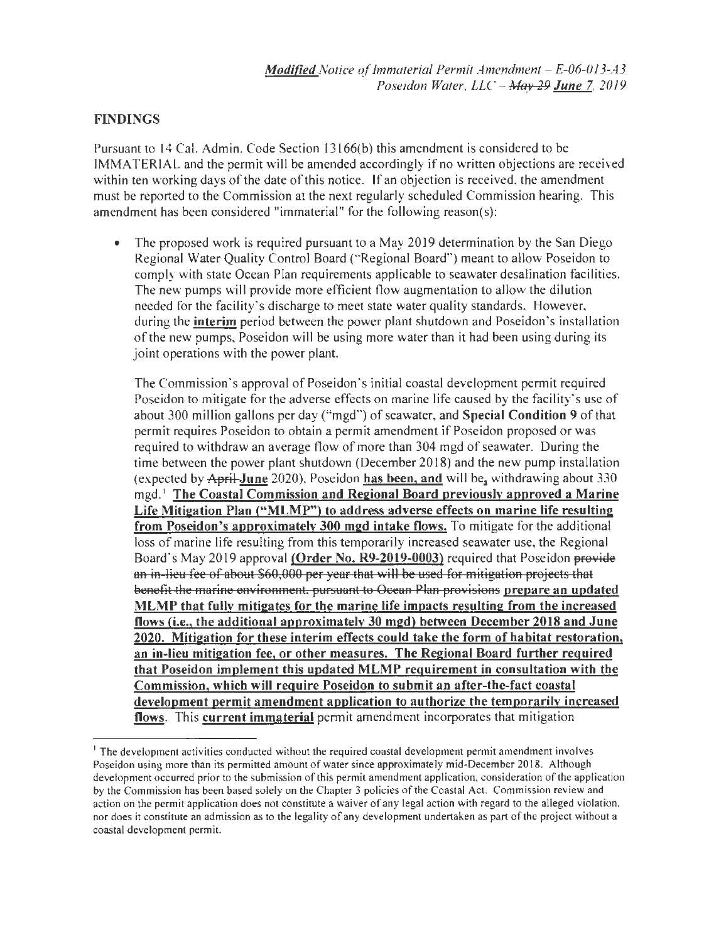#### FINDINGS

Pursuant to 14 Cal. Admin. Code Section 13166(b) this amendment is considered to be TMMATERIAL and the permit will be amended accordingly if no written objections are received within ten working days of the date of this notice. If an objection is received, the amendment must be reported to the Commission at the next regularly scheduled Commission hearing. This amendment has been considered "immaterial" for the following reason(s):

The proposed work is required pursuant to a May 2019 determination by the San Diego Regional Water Quality Control Board ("Regional Board") meant to allow Poseidon to comply with state Ocean Plan requirements applicable to seawater desalination facilities. The new pumps will provide more efficient flow augmentation to allow the dilution needed for the facility's discharge to meet state water quality standards. However, during the interim period between the power plant shutdown and Poseidon's installation of the new pumps, Poseidon will be using more water than it had been using during its joint operations with the power plant.

The Commission's approval of Poseidon's initial coastal development permit required Poseidon to mitigate for the adverse effects on marine life caused by the facility's use of about 300 million gallons per day ("mgd") of seawater, and Special Condition 9 of that permit requires Poseidon to obtain a permit amendment if Poseidon proposed or was required to withdraw an average flow of more than 304 mgd of seawater. During the time between the power plant shutdown (December 2018) and the new pump installation (expected by  $A$ pril-June 2020), Poseidon has been, and will be, withdrawing about 330 mgd. 1 The Coastal Commission and Regional Board previously approved a Marine Life Mitigation Plan ("MLMP") to address adverse effects on marine life resulting from Poseidon's approximately 300 mgd intake flows. To mitigate for the additional loss of marine life resulting from this temporarily increased seawater use, the Regional Board's May 2019 approval (Order No. R9-2019-0003) required that Poseidon provide an in lieu fee of about \$60,000 per year that will be used for mitigation projects that benefit the marine environment, pursuant to Ocean Plan provisions prepare an updated MLMP that fully mitigates for the marine life impacts resulting from the increased flows (i.e., the additional approximately 30 mgd) between December 2018 and June 2020. Mitigation for these interim effects could take the form of habitat restoration, an in-lieu mitigation fee, or other measures. The Regional Board further required that Poseidon implement this updated MLMP requirement in consultation with the Commission, which will require Poseidon to submit an after-the-fact coastal development permit amendment application to authorize the temporarily increased flows. This current immaterial permit amendment incorporates that mitigation

<sup>&</sup>lt;sup>1</sup> The development activities conducted without the required coastal development permit amendment involves Poseidon using more than its permitted amount of water since approximately mid-December 20 18. Although development occurred prior to the submission of this permit amendment application, consideration of the application by the Commission has been based solely on the Chapter 3 policies of the Coastal Act. Commission review and action on the permit application does not constitute a waiver of any legal action with regard to the alleged violation, nor does it constitute an admission as to the legality of any development undertaken as part of the project without a coastal development permit.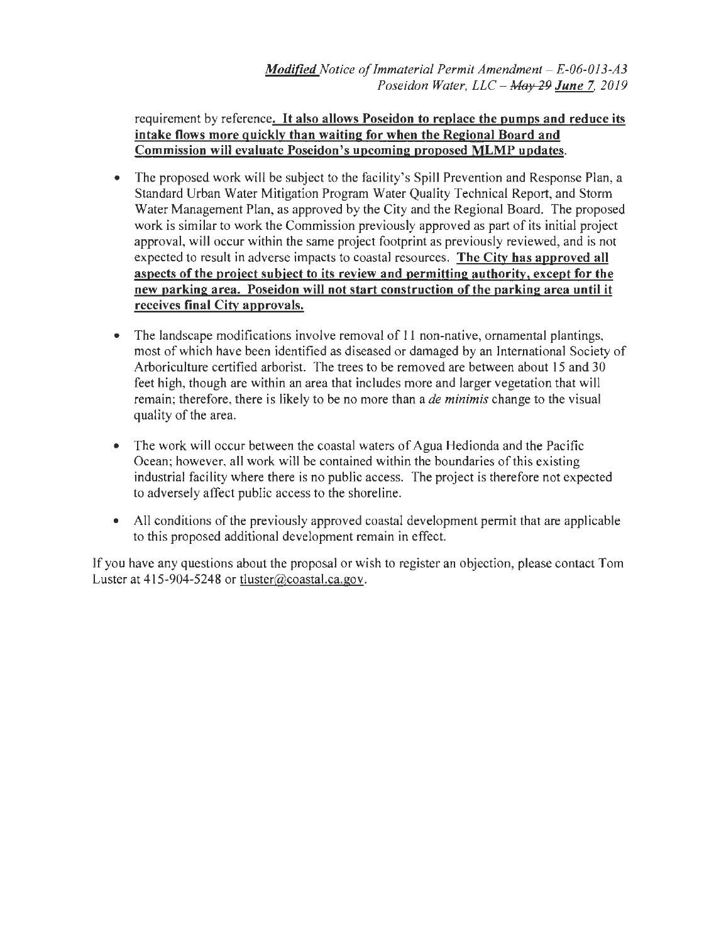requirement by reference. It also allows Poseidon to replace the pumps and reduce its intake flows more quickly than waiting for when the Regional Board and Commission will evaluate Poseidon's upcoming proposed MLMP updates.

- The proposed work will be subject to the facility's Spill Prevention and Response Plan, a Standard Urban Water Mitigation Program Water Quality Technical Report, and Storm Water Management Plan, as approved by the City and the Regional Board. The proposed work is similar to work the Commission previously approved as part of its initial project approval, will occur within the same project footprint as previously reviewed, and is not expected to result in adverse impacts to coastal resources. The City has approved all aspects of the project subject to its review and permitting authority, except for the new parking area. Poseidon will not start construction of the parking area until it receives final City approvals.
- The landscape modifications involve removal of 11 non-native, ornamental plantings, most of which have been identified as diseased or damaged by an International Society of Arboriculture certified arborist. The trees to be removed are between about 15 and 30 feet high, though are within an area that includes more and larger vegetation that will remain; therefore, there is likely to be no more than a *de minimis* change to the visual quality of the area.
- The work will occur between the coastal waters of Agua Hedionda and the Pacific Ocean; however, all work will be contained within the boundaries of this existing industrial facility where there is no public access. The project is therefore not expected to adversely affect public access to the shoreline.
- All conditions of the previously approved coastal development permit that are applicable to this proposed additional development remain in effect.

If you have any questions about the proposal or wish to register an objection, please contact Tom Luster at 415-904-5248 or tluster@coastal.ca.gov.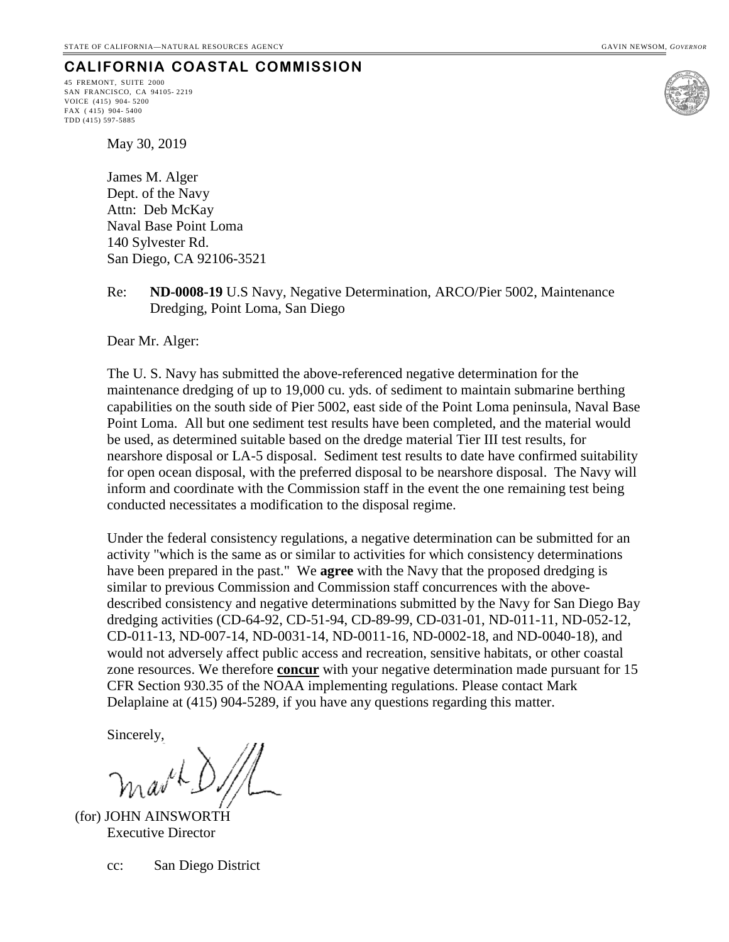45 FREMONT, SUITE 2000 SAN FRANCISCO, CA 94105- 2219 VOICE (415) 904- 5200 FAX ( 415) 904- 5400 TDD (415) 597-5885



May 30, 2019

James M. Alger Dept. of the Navy Attn: Deb McKay Naval Base Point Loma 140 Sylvester Rd. San Diego, CA 92106-3521

Re: **ND-0008-19** U.S Navy, Negative Determination, ARCO/Pier 5002, Maintenance Dredging, Point Loma, San Diego

Dear Mr. Alger:

The U. S. Navy has submitted the above-referenced negative determination for the maintenance dredging of up to 19,000 cu. yds. of sediment to maintain submarine berthing capabilities on the south side of Pier 5002, east side of the Point Loma peninsula, Naval Base Point Loma. All but one sediment test results have been completed, and the material would be used, as determined suitable based on the dredge material Tier III test results, for nearshore disposal or LA-5 disposal. Sediment test results to date have confirmed suitability for open ocean disposal, with the preferred disposal to be nearshore disposal. The Navy will inform and coordinate with the Commission staff in the event the one remaining test being conducted necessitates a modification to the disposal regime.

Under the federal consistency regulations, a negative determination can be submitted for an activity "which is the same as or similar to activities for which consistency determinations have been prepared in the past." We **agree** with the Navy that the proposed dredging is similar to previous Commission and Commission staff concurrences with the abovedescribed consistency and negative determinations submitted by the Navy for San Diego Bay dredging activities (CD-64-92, CD-51-94, CD-89-99, CD-031-01, ND-011-11, ND-052-12, CD-011-13, ND-007-14, ND-0031-14, ND-0011-16, ND-0002-18, and ND-0040-18), and would not adversely affect public access and recreation, sensitive habitats, or other coastal zone resources. We therefore **concur** with your negative determination made pursuant for 15 CFR Section 930.35 of the NOAA implementing regulations. Please contact Mark Delaplaine at (415) 904-5289, if you have any questions regarding this matter.

Sincerely,

(for) JOHN AINSWORTH Executive Director

cc: San Diego District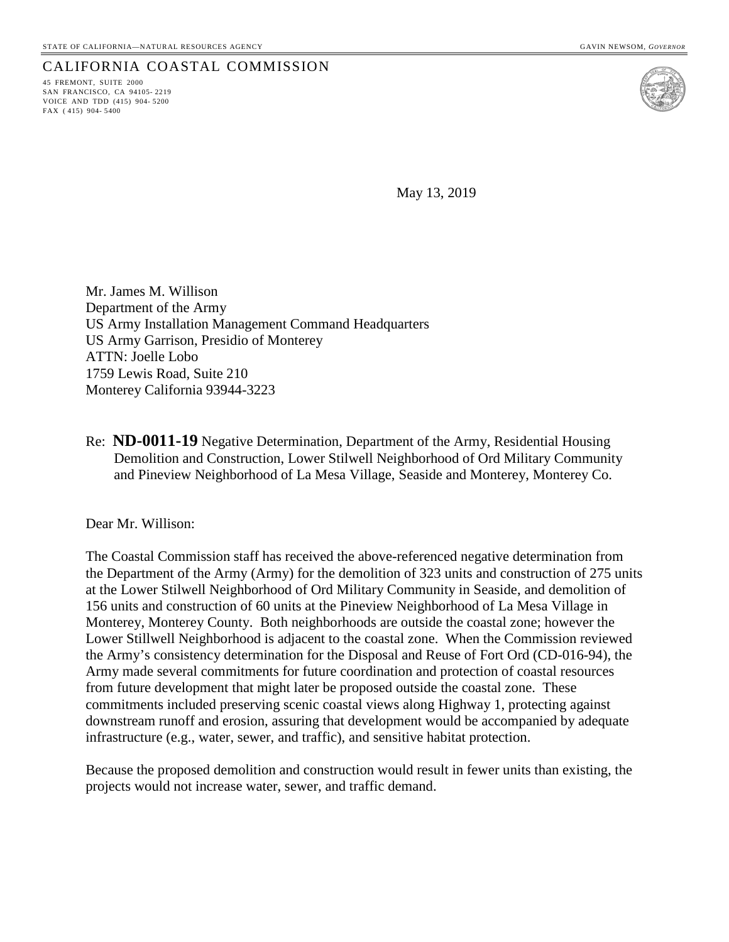45 FREMONT, SUITE 2000 SAN FRANCISCO, CA 94105- 2219 VOICE AND TDD (415) 904- 5200 FAX ( 415) 904- 5400



May 13, 2019

Mr. James M. Willison Department of the Army US Army Installation Management Command Headquarters US Army Garrison, Presidio of Monterey ATTN: Joelle Lobo 1759 Lewis Road, Suite 210 Monterey California 93944-3223

Re: **ND-0011-19** Negative Determination, Department of the Army, Residential Housing Demolition and Construction, Lower Stilwell Neighborhood of Ord Military Community and Pineview Neighborhood of La Mesa Village, Seaside and Monterey, Monterey Co.

Dear Mr. Willison:

The Coastal Commission staff has received the above-referenced negative determination from the Department of the Army (Army) for the demolition of 323 units and construction of 275 units at the Lower Stilwell Neighborhood of Ord Military Community in Seaside, and demolition of 156 units and construction of 60 units at the Pineview Neighborhood of La Mesa Village in Monterey, Monterey County. Both neighborhoods are outside the coastal zone; however the Lower Stillwell Neighborhood is adjacent to the coastal zone. When the Commission reviewed the Army's consistency determination for the Disposal and Reuse of Fort Ord (CD-016-94), the Army made several commitments for future coordination and protection of coastal resources from future development that might later be proposed outside the coastal zone. These commitments included preserving scenic coastal views along Highway 1, protecting against downstream runoff and erosion, assuring that development would be accompanied by adequate infrastructure (e.g., water, sewer, and traffic), and sensitive habitat protection.

Because the proposed demolition and construction would result in fewer units than existing, the projects would not increase water, sewer, and traffic demand.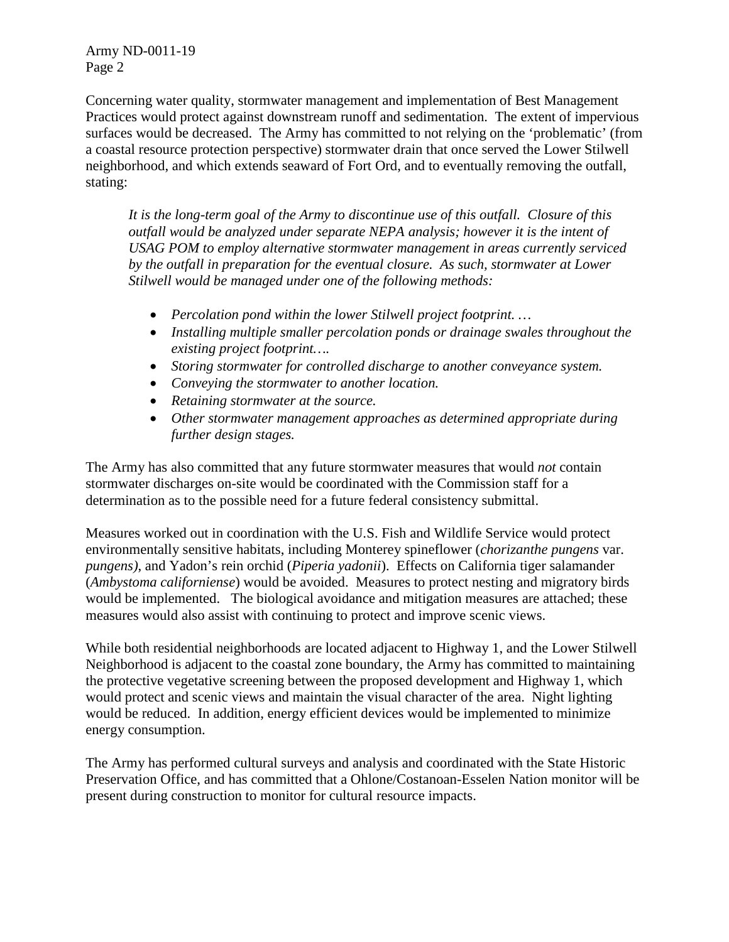Army ND-0011-19 Page 2

Concerning water quality, stormwater management and implementation of Best Management Practices would protect against downstream runoff and sedimentation. The extent of impervious surfaces would be decreased. The Army has committed to not relying on the 'problematic' (from a coastal resource protection perspective) stormwater drain that once served the Lower Stilwell neighborhood, and which extends seaward of Fort Ord, and to eventually removing the outfall, stating:

*It is the long-term goal of the Army to discontinue use of this outfall. Closure of this outfall would be analyzed under separate NEPA analysis; however it is the intent of USAG POM to employ alternative stormwater management in areas currently serviced by the outfall in preparation for the eventual closure. As such, stormwater at Lower Stilwell would be managed under one of the following methods:* 

- *Percolation pond within the lower Stilwell project footprint. …*
- *Installing multiple smaller percolation ponds or drainage swales throughout the existing project footprint….*
- *Storing stormwater for controlled discharge to another conveyance system.*
- *Conveying the stormwater to another location.*
- *Retaining stormwater at the source.*
- *Other stormwater management approaches as determined appropriate during further design stages.*

The Army has also committed that any future stormwater measures that would *not* contain stormwater discharges on-site would be coordinated with the Commission staff for a determination as to the possible need for a future federal consistency submittal.

Measures worked out in coordination with the U.S. Fish and Wildlife Service would protect environmentally sensitive habitats, including Monterey spineflower (*chorizanthe pungens* var. *pungens)*, and Yadon's rein orchid (*Piperia yadonii*). Effects on California tiger salamander (*Ambystoma californiense*) would be avoided. Measures to protect nesting and migratory birds would be implemented. The biological avoidance and mitigation measures are attached; these measures would also assist with continuing to protect and improve scenic views.

While both residential neighborhoods are located adjacent to Highway 1, and the Lower Stilwell Neighborhood is adjacent to the coastal zone boundary, the Army has committed to maintaining the protective vegetative screening between the proposed development and Highway 1, which would protect and scenic views and maintain the visual character of the area. Night lighting would be reduced. In addition, energy efficient devices would be implemented to minimize energy consumption.

The Army has performed cultural surveys and analysis and coordinated with the State Historic Preservation Office, and has committed that a Ohlone/Costanoan-Esselen Nation monitor will be present during construction to monitor for cultural resource impacts.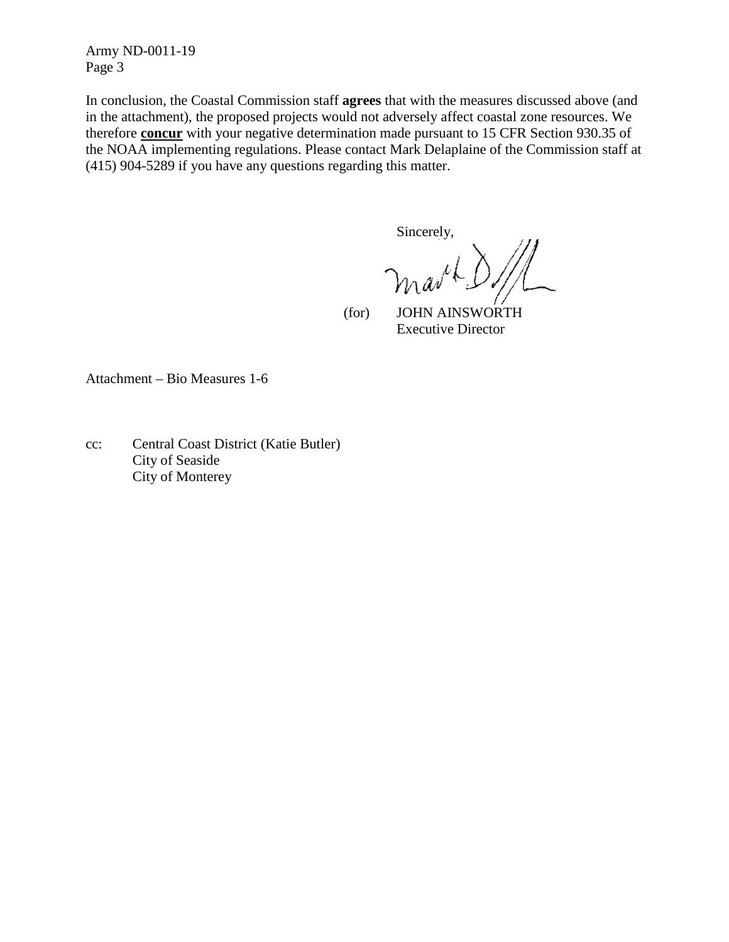Army ND-0011-19 Page 3

In conclusion, the Coastal Commission staff **agrees** that with the measures discussed above (and in the attachment), the proposed projects would not adversely affect coastal zone resources. We therefore **concur** with your negative determination made pursuant to 15 CFR Section 930.35 of the NOAA implementing regulations. Please contact Mark Delaplaine of the Commission staff at (415) 904-5289 if you have any questions regarding this matter.

Sincerely,

 (for) JOHN AINSWORTH Executive Director

Attachment – Bio Measures 1-6

cc: Central Coast District (Katie Butler) City of Seaside City of Monterey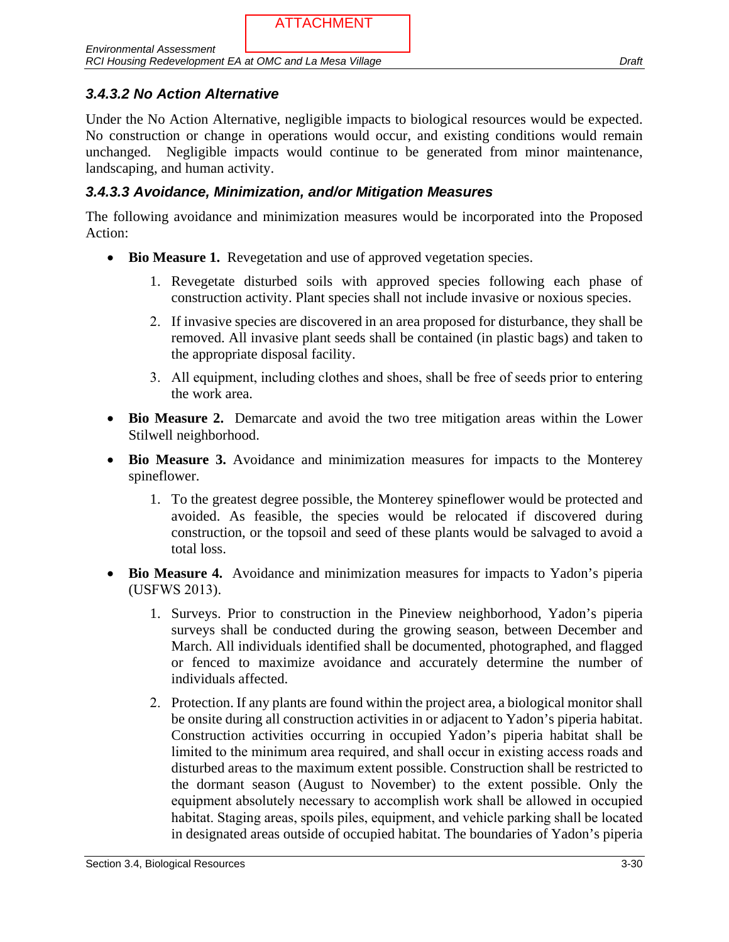Under the No Action Alternative, negligible impacts to biological resources would be expected. No construction or change in operations would occur, and existing conditions would remain unchanged. Negligible impacts would continue to be generated from minor maintenance, landscaping, and human activity.

# *3.4.3.3 Avoidance, Minimization, and/or Mitigation Measures*

The following avoidance and minimization measures would be incorporated into the Proposed Action:

- **Bio Measure 1.** Revegetation and use of approved vegetation species.
	- 1. Revegetate disturbed soils with approved species following each phase of construction activity. Plant species shall not include invasive or noxious species.
	- 2. If invasive species are discovered in an area proposed for disturbance, they shall be removed. All invasive plant seeds shall be contained (in plastic bags) and taken to the appropriate disposal facility.
	- 3. All equipment, including clothes and shoes, shall be free of seeds prior to entering the work area.
- **Bio Measure 2.** Demarcate and avoid the two tree mitigation areas within the Lower Stilwell neighborhood.
- **Bio Measure 3.** Avoidance and minimization measures for impacts to the Monterey spineflower.
	- 1. To the greatest degree possible, the Monterey spineflower would be protected and avoided. As feasible, the species would be relocated if discovered during construction, or the topsoil and seed of these plants would be salvaged to avoid a total loss.
- **Bio Measure 4.** Avoidance and minimization measures for impacts to Yadon's piperia (USFWS 2013).
	- 1. Surveys. Prior to construction in the Pineview neighborhood, Yadon's piperia surveys shall be conducted during the growing season, between December and March. All individuals identified shall be documented, photographed, and flagged or fenced to maximize avoidance and accurately determine the number of individuals affected.
	- 2. Protection. If any plants are found within the project area, a biological monitor shall be onsite during all construction activities in or adjacent to Yadon's piperia habitat. Construction activities occurring in occupied Yadon's piperia habitat shall be limited to the minimum area required, and shall occur in existing access roads and disturbed areas to the maximum extent possible. Construction shall be restricted to the dormant season (August to November) to the extent possible. Only the equipment absolutely necessary to accomplish work shall be allowed in occupied habitat. Staging areas, spoils piles, equipment, and vehicle parking shall be located in designated areas outside of occupied habitat. The boundaries of Yadon's piperia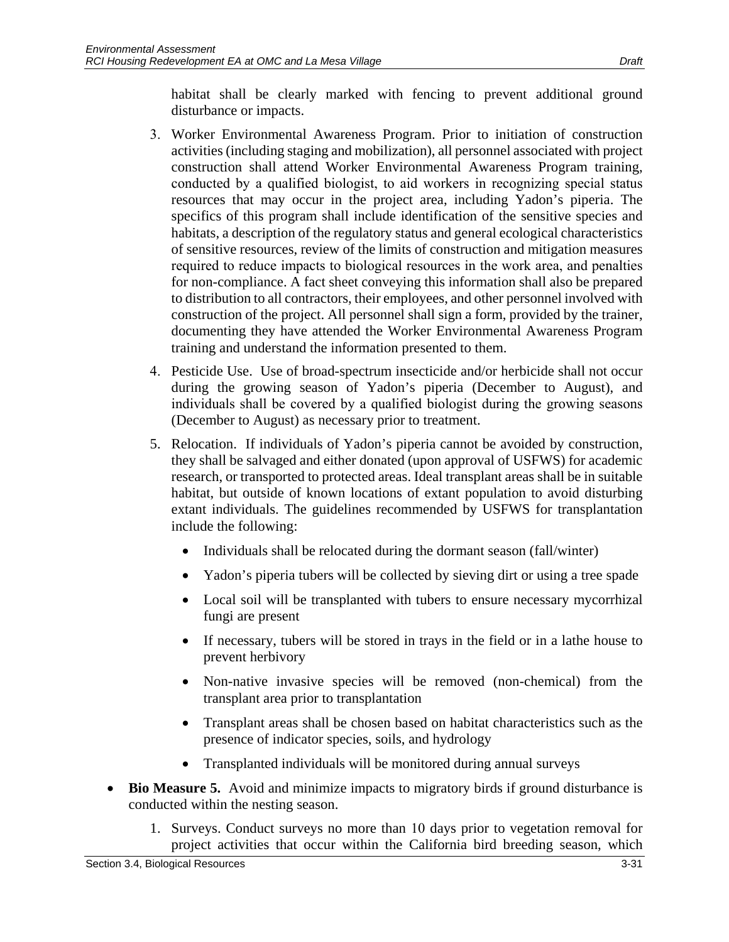habitat shall be clearly marked with fencing to prevent additional ground disturbance or impacts.

- 3. Worker Environmental Awareness Program. Prior to initiation of construction activities (including staging and mobilization), all personnel associated with project construction shall attend Worker Environmental Awareness Program training, conducted by a qualified biologist, to aid workers in recognizing special status resources that may occur in the project area, including Yadon's piperia. The specifics of this program shall include identification of the sensitive species and habitats, a description of the regulatory status and general ecological characteristics of sensitive resources, review of the limits of construction and mitigation measures required to reduce impacts to biological resources in the work area, and penalties for non-compliance. A fact sheet conveying this information shall also be prepared to distribution to all contractors, their employees, and other personnel involved with construction of the project. All personnel shall sign a form, provided by the trainer, documenting they have attended the Worker Environmental Awareness Program training and understand the information presented to them.
- 4. Pesticide Use. Use of broad-spectrum insecticide and/or herbicide shall not occur during the growing season of Yadon's piperia (December to August), and individuals shall be covered by a qualified biologist during the growing seasons (December to August) as necessary prior to treatment.
- 5. Relocation. If individuals of Yadon's piperia cannot be avoided by construction, they shall be salvaged and either donated (upon approval of USFWS) for academic research, or transported to protected areas. Ideal transplant areas shall be in suitable habitat, but outside of known locations of extant population to avoid disturbing extant individuals. The guidelines recommended by USFWS for transplantation include the following:
	- Individuals shall be relocated during the dormant season (fall/winter)
	- Yadon's piperia tubers will be collected by sieving dirt or using a tree spade
	- Local soil will be transplanted with tubers to ensure necessary mycorrhizal fungi are present
	- If necessary, tubers will be stored in trays in the field or in a lathe house to prevent herbivory
	- Non-native invasive species will be removed (non-chemical) from the transplant area prior to transplantation
	- Transplant areas shall be chosen based on habitat characteristics such as the presence of indicator species, soils, and hydrology
	- Transplanted individuals will be monitored during annual surveys
- **Bio Measure 5.** Avoid and minimize impacts to migratory birds if ground disturbance is conducted within the nesting season.
	- 1. Surveys. Conduct surveys no more than 10 days prior to vegetation removal for project activities that occur within the California bird breeding season, which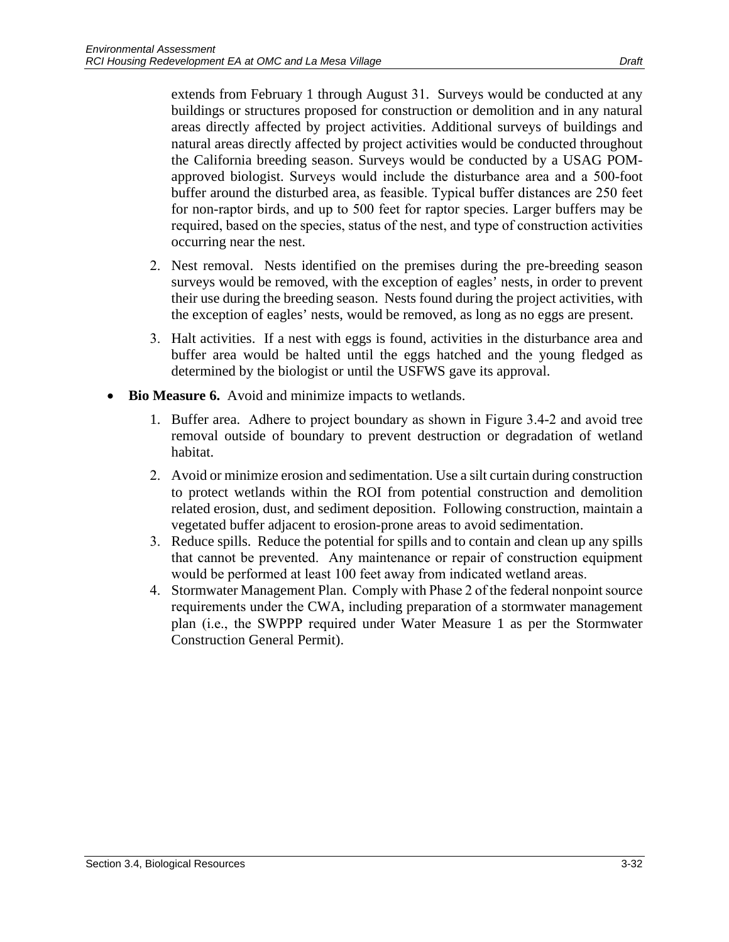extends from February 1 through August 31. Surveys would be conducted at any buildings or structures proposed for construction or demolition and in any natural areas directly affected by project activities. Additional surveys of buildings and natural areas directly affected by project activities would be conducted throughout the California breeding season. Surveys would be conducted by a USAG POMapproved biologist. Surveys would include the disturbance area and a 500-foot buffer around the disturbed area, as feasible. Typical buffer distances are 250 feet for non-raptor birds, and up to 500 feet for raptor species. Larger buffers may be required, based on the species, status of the nest, and type of construction activities occurring near the nest.

- 2. Nest removal. Nests identified on the premises during the pre-breeding season surveys would be removed, with the exception of eagles' nests, in order to prevent their use during the breeding season. Nests found during the project activities, with the exception of eagles' nests, would be removed, as long as no eggs are present.
- 3. Halt activities. If a nest with eggs is found, activities in the disturbance area and buffer area would be halted until the eggs hatched and the young fledged as determined by the biologist or until the USFWS gave its approval.
- **Bio Measure 6.** Avoid and minimize impacts to wetlands.
	- 1. Buffer area. Adhere to project boundary as shown in Figure 3.4-2 and avoid tree removal outside of boundary to prevent destruction or degradation of wetland habitat.
	- 2. Avoid or minimize erosion and sedimentation. Use a silt curtain during construction to protect wetlands within the ROI from potential construction and demolition related erosion, dust, and sediment deposition. Following construction, maintain a vegetated buffer adjacent to erosion-prone areas to avoid sedimentation.
	- 3. Reduce spills. Reduce the potential for spills and to contain and clean up any spills that cannot be prevented. Any maintenance or repair of construction equipment would be performed at least 100 feet away from indicated wetland areas.
	- 4. Stormwater Management Plan. Comply with Phase 2 of the federal nonpoint source requirements under the CWA, including preparation of a stormwater management plan (i.e., the SWPPP required under Water Measure 1 as per the Stormwater Construction General Permit).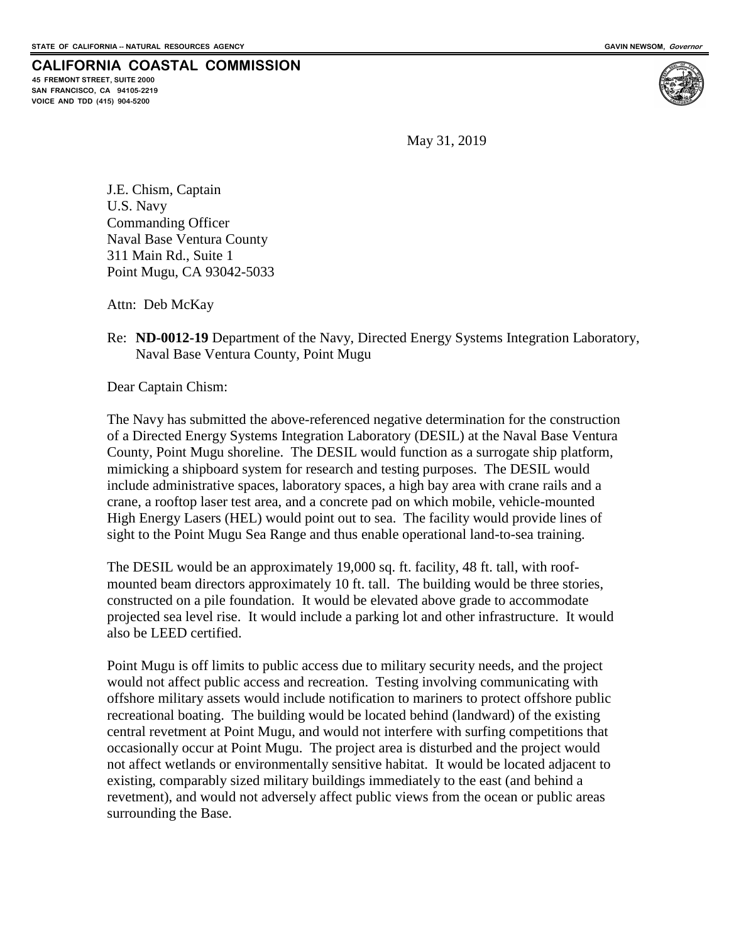**45 FREMONT STREET, SUITE 2000 SAN FRANCISCO, CA 94105-2219 VOICE AND TDD (415) 904-5200**



May 31, 2019

J.E. Chism, Captain U.S. Navy Commanding Officer Naval Base Ventura County 311 Main Rd., Suite 1 Point Mugu, CA 93042-5033

Attn: Deb McKay

Re: **ND-0012-19** Department of the Navy, Directed Energy Systems Integration Laboratory, Naval Base Ventura County, Point Mugu

Dear Captain Chism:

The Navy has submitted the above-referenced negative determination for the construction of a Directed Energy Systems Integration Laboratory (DESIL) at the Naval Base Ventura County, Point Mugu shoreline. The DESIL would function as a surrogate ship platform, mimicking a shipboard system for research and testing purposes. The DESIL would include administrative spaces, laboratory spaces, a high bay area with crane rails and a crane, a rooftop laser test area, and a concrete pad on which mobile, vehicle-mounted High Energy Lasers (HEL) would point out to sea. The facility would provide lines of sight to the Point Mugu Sea Range and thus enable operational land-to-sea training.

The DESIL would be an approximately 19,000 sq. ft. facility, 48 ft. tall, with roofmounted beam directors approximately 10 ft. tall. The building would be three stories, constructed on a pile foundation. It would be elevated above grade to accommodate projected sea level rise. It would include a parking lot and other infrastructure. It would also be LEED certified.

Point Mugu is off limits to public access due to military security needs, and the project would not affect public access and recreation. Testing involving communicating with offshore military assets would include notification to mariners to protect offshore public recreational boating. The building would be located behind (landward) of the existing central revetment at Point Mugu, and would not interfere with surfing competitions that occasionally occur at Point Mugu. The project area is disturbed and the project would not affect wetlands or environmentally sensitive habitat. It would be located adjacent to existing, comparably sized military buildings immediately to the east (and behind a revetment), and would not adversely affect public views from the ocean or public areas surrounding the Base.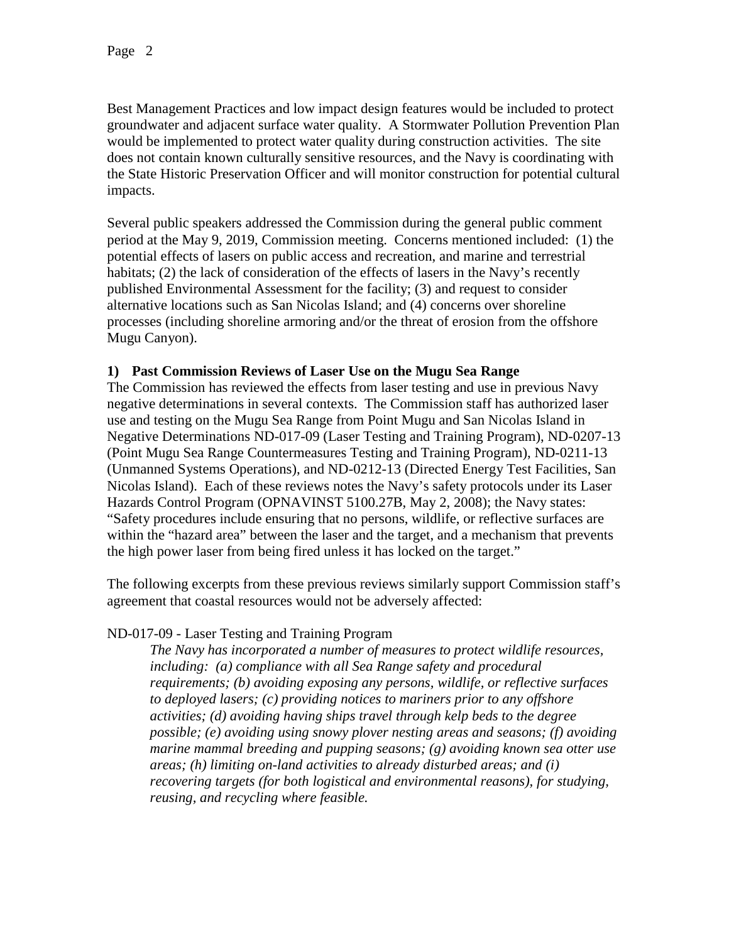Best Management Practices and low impact design features would be included to protect groundwater and adjacent surface water quality. A Stormwater Pollution Prevention Plan would be implemented to protect water quality during construction activities. The site does not contain known culturally sensitive resources, and the Navy is coordinating with the State Historic Preservation Officer and will monitor construction for potential cultural impacts.

Several public speakers addressed the Commission during the general public comment period at the May 9, 2019, Commission meeting. Concerns mentioned included: (1) the potential effects of lasers on public access and recreation, and marine and terrestrial habitats; (2) the lack of consideration of the effects of lasers in the Navy's recently published Environmental Assessment for the facility; (3) and request to consider alternative locations such as San Nicolas Island; and (4) concerns over shoreline processes (including shoreline armoring and/or the threat of erosion from the offshore Mugu Canyon).

### **1) Past Commission Reviews of Laser Use on the Mugu Sea Range**

The Commission has reviewed the effects from laser testing and use in previous Navy negative determinations in several contexts. The Commission staff has authorized laser use and testing on the Mugu Sea Range from Point Mugu and San Nicolas Island in Negative Determinations ND-017-09 (Laser Testing and Training Program), ND-0207-13 (Point Mugu Sea Range Countermeasures Testing and Training Program), ND-0211-13 (Unmanned Systems Operations), and ND-0212-13 (Directed Energy Test Facilities, San Nicolas Island). Each of these reviews notes the Navy's safety protocols under its Laser Hazards Control Program (OPNAVINST 5100.27B, May 2, 2008); the Navy states: "Safety procedures include ensuring that no persons, wildlife, or reflective surfaces are within the "hazard area" between the laser and the target, and a mechanism that prevents the high power laser from being fired unless it has locked on the target."

The following excerpts from these previous reviews similarly support Commission staff's agreement that coastal resources would not be adversely affected:

## ND-017-09 - Laser Testing and Training Program

*The Navy has incorporated a number of measures to protect wildlife resources, including: (a) compliance with all Sea Range safety and procedural requirements; (b) avoiding exposing any persons, wildlife, or reflective surfaces to deployed lasers; (c) providing notices to mariners prior to any offshore activities; (d) avoiding having ships travel through kelp beds to the degree possible; (e) avoiding using snowy plover nesting areas and seasons; (f) avoiding marine mammal breeding and pupping seasons; (g) avoiding known sea otter use areas; (h) limiting on-land activities to already disturbed areas; and (i) recovering targets (for both logistical and environmental reasons), for studying, reusing, and recycling where feasible.*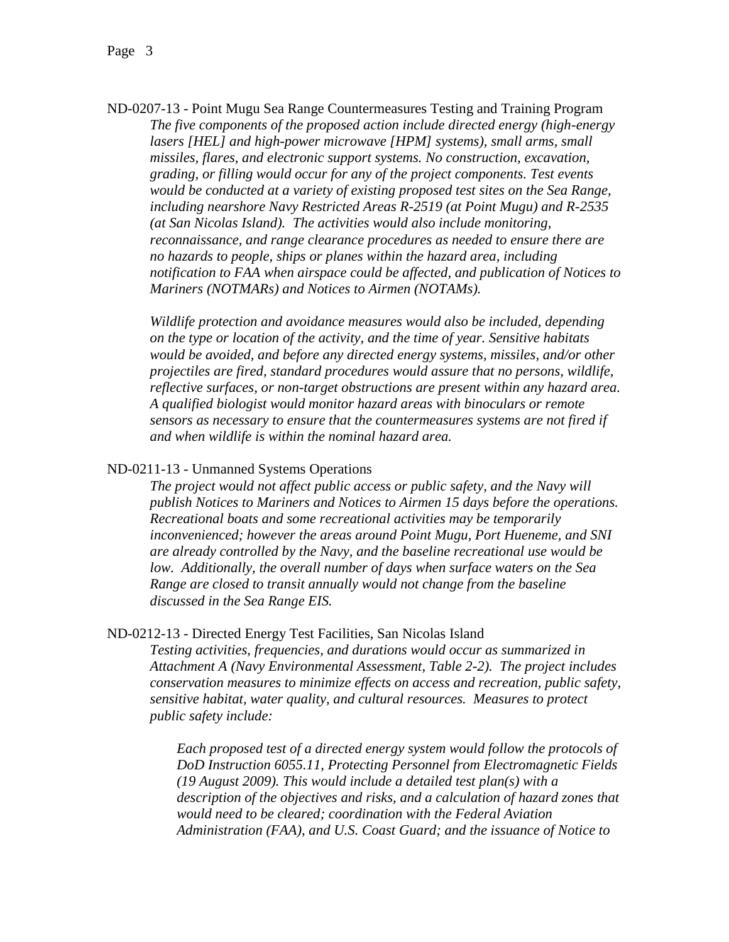ND-0207-13 - Point Mugu Sea Range Countermeasures Testing and Training Program *The five components of the proposed action include directed energy (high-energy lasers [HEL] and high-power microwave [HPM] systems), small arms, small missiles, flares, and electronic support systems. No construction, excavation, grading, or filling would occur for any of the project components. Test events would be conducted at a variety of existing proposed test sites on the Sea Range, including nearshore Navy Restricted Areas R-2519 (at Point Mugu) and R-2535 (at San Nicolas Island). The activities would also include monitoring, reconnaissance, and range clearance procedures as needed to ensure there are no hazards to people, ships or planes within the hazard area, including notification to FAA when airspace could be affected, and publication of Notices to Mariners (NOTMARs) and Notices to Airmen (NOTAMs).*

*Wildlife protection and avoidance measures would also be included, depending on the type or location of the activity, and the time of year. Sensitive habitats would be avoided, and before any directed energy systems, missiles, and/or other projectiles are fired, standard procedures would assure that no persons, wildlife, reflective surfaces, or non-target obstructions are present within any hazard area. A qualified biologist would monitor hazard areas with binoculars or remote sensors as necessary to ensure that the countermeasures systems are not fired if and when wildlife is within the nominal hazard area.* 

ND-0211-13 - Unmanned Systems Operations

*The project would not affect public access or public safety, and the Navy will publish Notices to Mariners and Notices to Airmen 15 days before the operations. Recreational boats and some recreational activities may be temporarily inconvenienced; however the areas around Point Mugu, Port Hueneme, and SNI are already controlled by the Navy, and the baseline recreational use would be low. Additionally, the overall number of days when surface waters on the Sea Range are closed to transit annually would not change from the baseline discussed in the Sea Range EIS.* 

ND-0212-13 - Directed Energy Test Facilities, San Nicolas Island

*Testing activities, frequencies, and durations would occur as summarized in Attachment A (Navy Environmental Assessment, Table 2-2). The project includes conservation measures to minimize effects on access and recreation, public safety, sensitive habitat, water quality, and cultural resources. Measures to protect public safety include:*

*Each proposed test of a directed energy system would follow the protocols of DoD Instruction 6055.11, Protecting Personnel from Electromagnetic Fields (19 August 2009). This would include a detailed test plan(s) with a description of the objectives and risks, and a calculation of hazard zones that would need to be cleared; coordination with the Federal Aviation Administration (FAA), and U.S. Coast Guard; and the issuance of Notice to*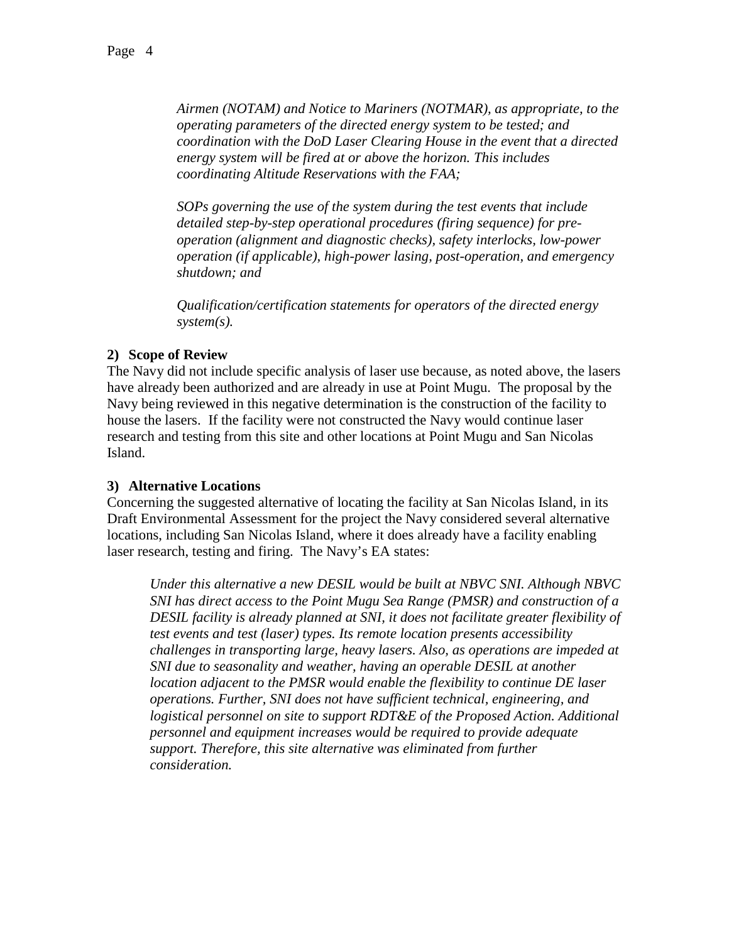*Airmen (NOTAM) and Notice to Mariners (NOTMAR), as appropriate, to the operating parameters of the directed energy system to be tested; and coordination with the DoD Laser Clearing House in the event that a directed energy system will be fired at or above the horizon. This includes coordinating Altitude Reservations with the FAA;* 

*SOPs governing the use of the system during the test events that include detailed step-by-step operational procedures (firing sequence) for preoperation (alignment and diagnostic checks), safety interlocks, low-power operation (if applicable), high-power lasing, post-operation, and emergency shutdown; and*

*Qualification/certification statements for operators of the directed energy system(s).*

### **2) Scope of Review**

The Navy did not include specific analysis of laser use because, as noted above, the lasers have already been authorized and are already in use at Point Mugu. The proposal by the Navy being reviewed in this negative determination is the construction of the facility to house the lasers. If the facility were not constructed the Navy would continue laser research and testing from this site and other locations at Point Mugu and San Nicolas Island.

### **3) Alternative Locations**

Concerning the suggested alternative of locating the facility at San Nicolas Island, in its Draft Environmental Assessment for the project the Navy considered several alternative locations, including San Nicolas Island, where it does already have a facility enabling laser research, testing and firing. The Navy's EA states:

*Under this alternative a new DESIL would be built at NBVC SNI. Although NBVC SNI has direct access to the Point Mugu Sea Range (PMSR) and construction of a DESIL facility is already planned at SNI, it does not facilitate greater flexibility of test events and test (laser) types. Its remote location presents accessibility challenges in transporting large, heavy lasers. Also, as operations are impeded at SNI due to seasonality and weather, having an operable DESIL at another location adjacent to the PMSR would enable the flexibility to continue DE laser operations. Further, SNI does not have sufficient technical, engineering, and logistical personnel on site to support RDT&E of the Proposed Action. Additional personnel and equipment increases would be required to provide adequate support. Therefore, this site alternative was eliminated from further consideration.*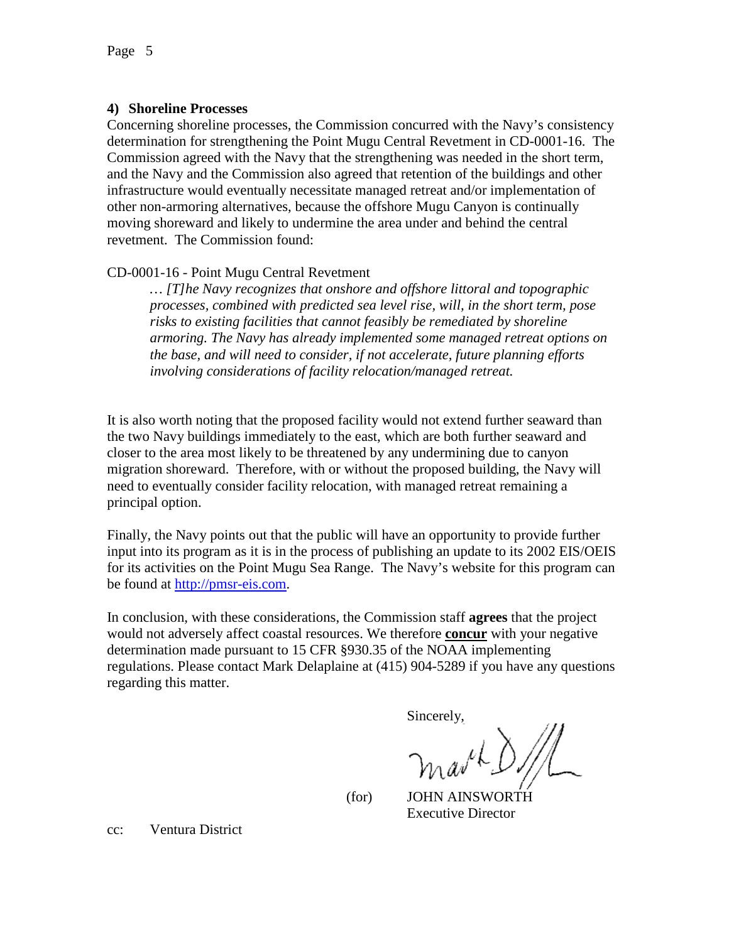#### **4) Shoreline Processes**

Concerning shoreline processes, the Commission concurred with the Navy's consistency determination for strengthening the Point Mugu Central Revetment in CD-0001-16. The Commission agreed with the Navy that the strengthening was needed in the short term, and the Navy and the Commission also agreed that retention of the buildings and other infrastructure would eventually necessitate managed retreat and/or implementation of other non-armoring alternatives, because the offshore Mugu Canyon is continually moving shoreward and likely to undermine the area under and behind the central revetment. The Commission found:

### CD-0001-16 - Point Mugu Central Revetment

*… [T]he Navy recognizes that onshore and offshore littoral and topographic processes, combined with predicted sea level rise, will, in the short term, pose risks to existing facilities that cannot feasibly be remediated by shoreline armoring. The Navy has already implemented some managed retreat options on the base, and will need to consider, if not accelerate, future planning efforts involving considerations of facility relocation/managed retreat.*

It is also worth noting that the proposed facility would not extend further seaward than the two Navy buildings immediately to the east, which are both further seaward and closer to the area most likely to be threatened by any undermining due to canyon migration shoreward. Therefore, with or without the proposed building, the Navy will need to eventually consider facility relocation, with managed retreat remaining a principal option.

Finally, the Navy points out that the public will have an opportunity to provide further input into its program as it is in the process of publishing an update to its 2002 EIS/OEIS for its activities on the Point Mugu Sea Range. The Navy's website for this program can be found at [http://pmsr-eis.com.](http://pmsr-eis.com/)

In conclusion, with these considerations, the Commission staff **agrees** that the project would not adversely affect coastal resources. We therefore **concur** with your negative determination made pursuant to 15 CFR §930.35 of the NOAA implementing regulations. Please contact Mark Delaplaine at (415) 904-5289 if you have any questions regarding this matter.

Sincerely,

 $h_0$  so the

 (for) JOHN AINSWORTH Executive Director

cc: Ventura District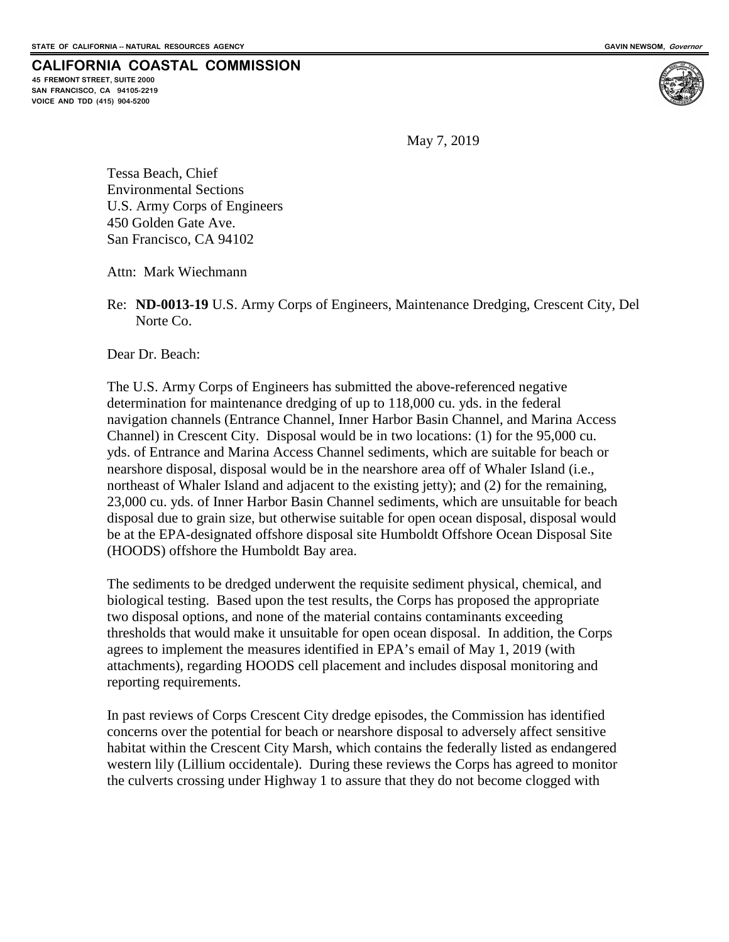**45 FREMONT STREET, SUITE 2000 SAN FRANCISCO, CA 94105-2219 VOICE AND TDD (415) 904-5200**



May 7, 2019

Tessa Beach, Chief Environmental Sections U.S. Army Corps of Engineers 450 Golden Gate Ave. San Francisco, CA 94102

Attn: Mark Wiechmann

Re: **ND-0013-19** U.S. Army Corps of Engineers, Maintenance Dredging, Crescent City, Del Norte Co.

Dear Dr. Beach:

The U.S. Army Corps of Engineers has submitted the above-referenced negative determination for maintenance dredging of up to 118,000 cu. yds. in the federal navigation channels (Entrance Channel, Inner Harbor Basin Channel, and Marina Access Channel) in Crescent City. Disposal would be in two locations: (1) for the 95,000 cu. yds. of Entrance and Marina Access Channel sediments, which are suitable for beach or nearshore disposal, disposal would be in the nearshore area off of Whaler Island (i.e., northeast of Whaler Island and adjacent to the existing jetty); and (2) for the remaining, 23,000 cu. yds. of Inner Harbor Basin Channel sediments, which are unsuitable for beach disposal due to grain size, but otherwise suitable for open ocean disposal, disposal would be at the EPA-designated offshore disposal site Humboldt Offshore Ocean Disposal Site (HOODS) offshore the Humboldt Bay area.

The sediments to be dredged underwent the requisite sediment physical, chemical, and biological testing. Based upon the test results, the Corps has proposed the appropriate two disposal options, and none of the material contains contaminants exceeding thresholds that would make it unsuitable for open ocean disposal. In addition, the Corps agrees to implement the measures identified in EPA's email of May 1, 2019 (with attachments), regarding HOODS cell placement and includes disposal monitoring and reporting requirements.

In past reviews of Corps Crescent City dredge episodes, the Commission has identified concerns over the potential for beach or nearshore disposal to adversely affect sensitive habitat within the Crescent City Marsh, which contains the federally listed as endangered western lily (Lillium occidentale). During these reviews the Corps has agreed to monitor the culverts crossing under Highway 1 to assure that they do not become clogged with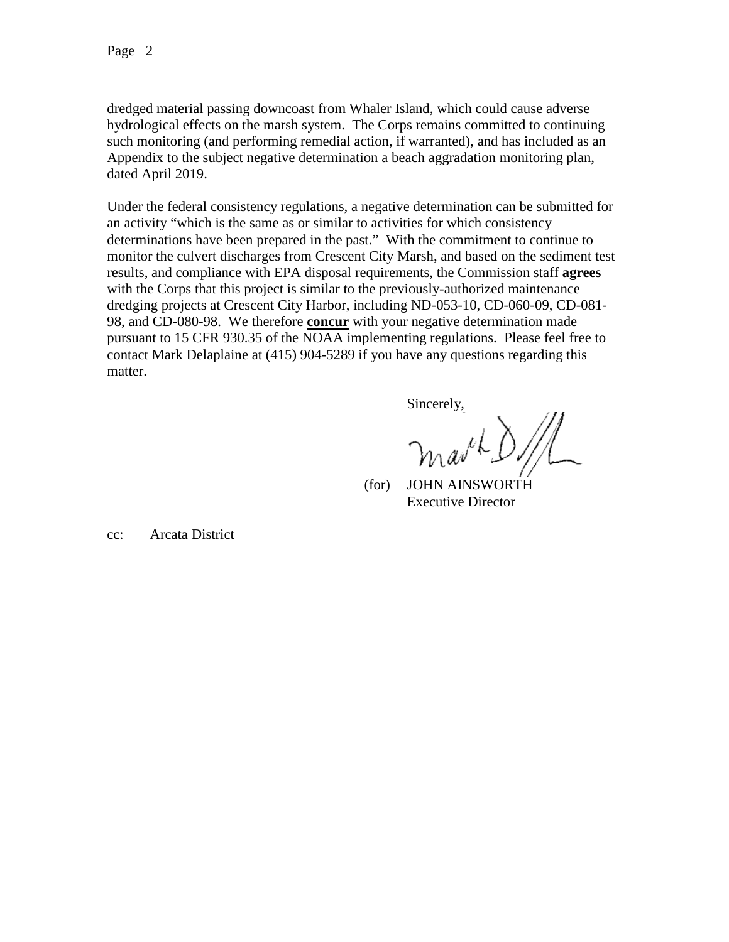dredged material passing downcoast from Whaler Island, which could cause adverse hydrological effects on the marsh system. The Corps remains committed to continuing such monitoring (and performing remedial action, if warranted), and has included as an Appendix to the subject negative determination a beach aggradation monitoring plan, dated April 2019.

Under the federal consistency regulations, a negative determination can be submitted for an activity "which is the same as or similar to activities for which consistency determinations have been prepared in the past." With the commitment to continue to monitor the culvert discharges from Crescent City Marsh, and based on the sediment test results, and compliance with EPA disposal requirements, the Commission staff **agrees** with the Corps that this project is similar to the previously-authorized maintenance dredging projects at Crescent City Harbor, including ND-053-10, CD-060-09, CD-081- 98, and CD-080-98. We therefore **concur** with your negative determination made pursuant to 15 CFR 930.35 of the NOAA implementing regulations. Please feel free to contact Mark Delaplaine at (415) 904-5289 if you have any questions regarding this matter.

Sincerely,

 $\mu_{\mu\nu}$ 

(for) JOHN AINSWORTH Executive Director

cc: Arcata District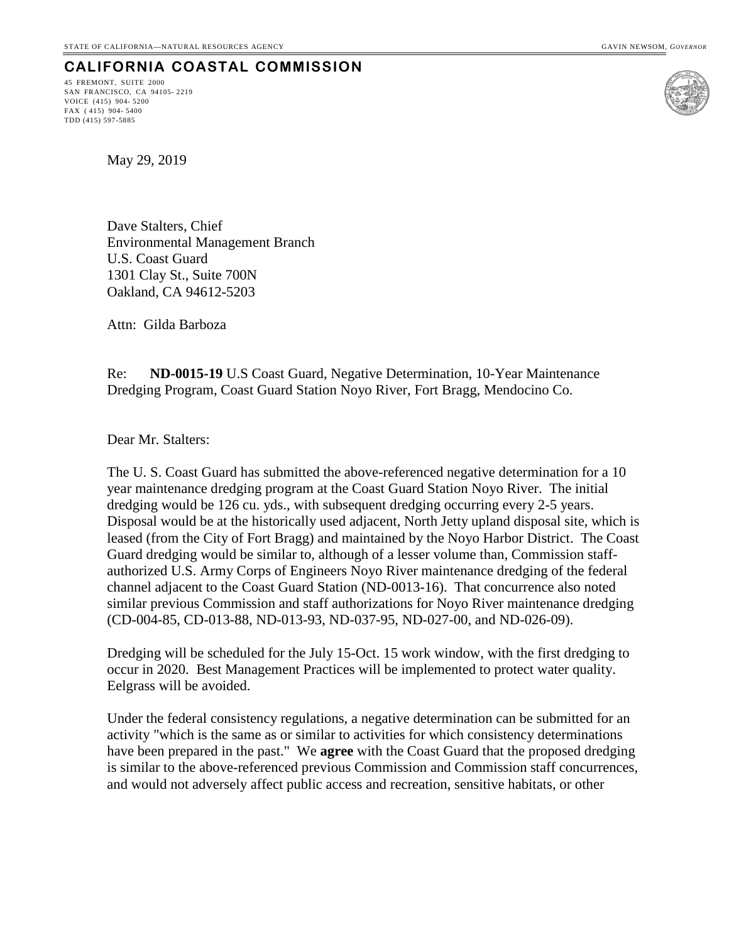45 FREMONT, SUITE 2000 SAN FRANCISCO, CA 94105- 2219 VOICE (415) 904- 5200 FAX ( 415) 904- 5400 TDD (415) 597-5885



May 29, 2019

Dave Stalters, Chief Environmental Management Branch U.S. Coast Guard 1301 Clay St., Suite 700N Oakland, CA 94612-5203

Attn: Gilda Barboza

Re: **ND-0015-19** U.S Coast Guard, Negative Determination, 10-Year Maintenance Dredging Program, Coast Guard Station Noyo River, Fort Bragg, Mendocino Co.

Dear Mr. Stalters:

The U. S. Coast Guard has submitted the above-referenced negative determination for a 10 year maintenance dredging program at the Coast Guard Station Noyo River. The initial dredging would be 126 cu. yds., with subsequent dredging occurring every 2-5 years. Disposal would be at the historically used adjacent, North Jetty upland disposal site, which is leased (from the City of Fort Bragg) and maintained by the Noyo Harbor District. The Coast Guard dredging would be similar to, although of a lesser volume than, Commission staffauthorized U.S. Army Corps of Engineers Noyo River maintenance dredging of the federal channel adjacent to the Coast Guard Station (ND-0013-16). That concurrence also noted similar previous Commission and staff authorizations for Noyo River maintenance dredging (CD-004-85, CD-013-88, ND-013-93, ND-037-95, ND-027-00, and ND-026-09).

Dredging will be scheduled for the July 15-Oct. 15 work window, with the first dredging to occur in 2020. Best Management Practices will be implemented to protect water quality. Eelgrass will be avoided.

Under the federal consistency regulations, a negative determination can be submitted for an activity "which is the same as or similar to activities for which consistency determinations have been prepared in the past." We **agree** with the Coast Guard that the proposed dredging is similar to the above-referenced previous Commission and Commission staff concurrences, and would not adversely affect public access and recreation, sensitive habitats, or other